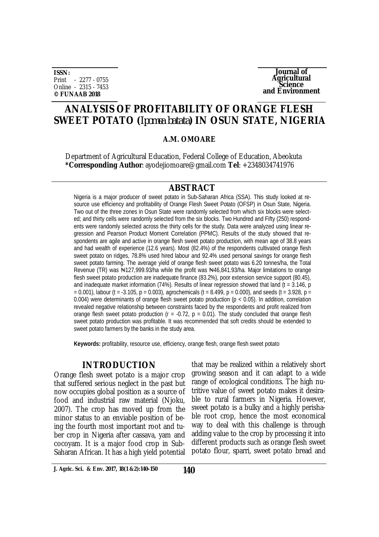**ISSN:** Print - 2277 - 0755 Online - 2315 - 7453 **© FUNAAB 2018**

**Journal of Agricultural Science and Environment**

## **ANALYSIS OF PROFITABILITY OF ORANGE FLESH SWEET POTATO (***Ipomea batata***) IN OSUN STATE, NIGERIA**

#### **A.M. OMOARE**

Department of Agricultural Education, Federal College of Education, Abeokuta **\*Corresponding Author**: [ayodejiomoare@gmail.com](mailto:ayodejiomoare@gmail.com) **Tel**: +2348034741976

## **ABSTRACT**

Nigeria is a major producer of sweet potato in Sub-Saharan Africa (SSA). This study looked at resource use efficiency and profitability of Orange Flesh Sweet Potato (OFSP) in Osun State, Nigeria. Two out of the three zones in Osun State were randomly selected from which six blocks were selected; and thirty cells were randomly selected from the six blocks. Two Hundred and Fifty (250) respondents were randomly selected across the thirty cells for the study. Data were analyzed using linear regression and Pearson Product Moment Correlation (PPMC). Results of the study showed that respondents are agile and active in orange flesh sweet potato production, with mean age of 38.8 years and had wealth of experience (12.6 years). Most (82.4%) of the respondents cultivated orange flesh sweet potato on ridges, 78.8% used hired labour and 92.4% used personal savings for orange flesh sweet potato farming. The average yield of orange flesh sweet potato was 6.20 tonnes/ha, the Total Revenue (TR) was N127,999.93/ha while the profit was N46,841.93/ha. Major limitations to orange flesh sweet potato production are inadequate finance (83.2%), poor extension service support (80.45), and inadequate market information (74%). Results of linear regression showed that land (t = 3.146, p  $= 0.001$ ), labour (t = -3.105, p = 0.003), agrochemicals (t = 8.499, p = 0.000), and seeds (t = 3.928, p = 0.004) were determinants of orange flesh sweet potato production ( $p < 0.05$ ). In addition, correlation revealed negative relationship between constraints faced by the respondents and profit realized from orange flesh sweet potato production ( $r = -0.72$ ,  $p = 0.01$ ). The study concluded that orange flesh sweet potato production was profitable. It was recommended that soft credits should be extended to sweet potato farmers by the banks in the study area.

**Keywords:** profitability, resource use, efficiency, orange flesh, orange flesh sweet potato

## **INTRODUCTION**

Orange flesh sweet potato is a major crop that suffered serious neglect in the past but now occupies global position as a source of food and industrial raw material (Njoku, 2007). The crop has moved up from the minor status to an enviable position of being the fourth most important root and tuber crop in Nigeria after cassava, yam and cocoyam. It is a major food crop in Sub-Saharan African. It has a high yield potential

that may be realized within a relatively short growing season and it can adapt to a wide range of ecological conditions. The high nutritive value of sweet potato makes it desirable to rural farmers in Nigeria. However, sweet potato is a bulky and a highly perishable root crop, hence the most economical way to deal with this challenge is through adding value to the crop by processing it into different products such as orange flesh sweet potato flour, sparri, sweet potato bread and

**J. Agric. Sci. & Env. 2017, 18(1 &2):140-150 140**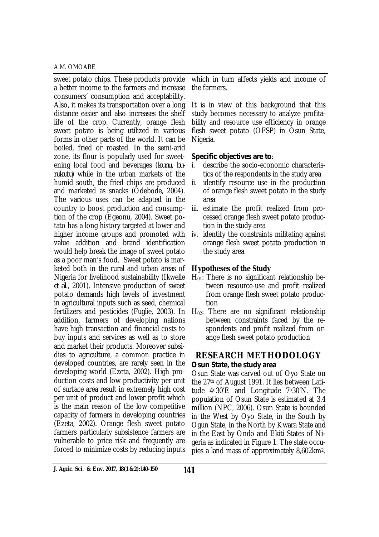#### A.M. OMOARE

sweet potato chips. These products provide a better income to the farmers and increase consumers' consumption and acceptability. Also, it makes its transportation over a long distance easier and also increases the shelf life of the crop. Currently, orange flesh sweet potato is being utilized in various forms in other parts of the world. It can be boiled, fried or roasted. In the semi-arid zone, its flour is popularly used for sweetening local food and beverages (*kunu, burukutu*) while in the urban markets of the humid south, the fried chips are produced and marketed as snacks (Odebode, 2004). The various uses can be adapted in the country to boost production and consumption of the crop (Egeonu, 2004). Sweet potato has a long history targeted at lower and higher income groups and promoted with value addition and brand identification would help break the image of sweet potato as a poor man's food. Sweet potato is marketed both in the rural and urban areas of Nigeria for livelihood sustainability (Ikwelle *et al*., 2001). Intensive production of sweet potato demands high levels of investment in agricultural inputs such as seed, chemical fertilizers and pesticides (Fuglie, 2003). In addition, farmers of developing nations have high transaction and financial costs to buy inputs and services as well as to store and market their products. Moreover subsidies to agriculture, a common practice in developed countries, are rarely seen in the developing world (Ezeta, 2002). High production costs and low productivity per unit of surface area result in extremely high cost per unit of product and lower profit which is the main reason of the low competitive capacity of farmers in developing countries (Ezeta, 2002). Orange flesh sweet potato farmers particularly subsistence farmers are vulnerable to price risk and frequently are forced to minimize costs by reducing inputs

which in turn affects yields and income of the farmers.

It is in view of this background that this study becomes necessary to analyze profitability and resource use efficiency in orange flesh sweet potato (OFSP) in Osun State, Nigeria.

## *Specific objectives are to:*

- i. describe the socio-economic characteristics of the respondents in the study area
- ii. identify resource use in the production of orange flesh sweet potato in the study area
- iii. estimate the profit realized from processed orange flesh sweet potato production in the study area
- iv. identify the constraints militating against orange flesh sweet potato production in the study area

## **Hypotheses of the Study**

- $H_{01}$ : There is no significant relationship between resource-use and profit realized from orange flesh sweet potato production
- $H_{02}$ : There are no significant relationship between constraints faced by the respondents and profit realized from orange flesh sweet potato production

## **RESEARCH METHODOLOGY** *Osun State, the study area*

Osun State was carved out of Oyo State on the 27th of August 1991. It lies between Latitude 4o30'E and Longitude 7o30'N. The population of Osun State is estimated at 3.4 million (NPC, 2006). Osun State is bounded in the West by Oyo State, in the South by Ogun State, in the North by Kwara State and in the East by Ondo and Ekiti States of Nigeria as indicated in Figure 1. The state occupies a land mass of approximately 8,602km2.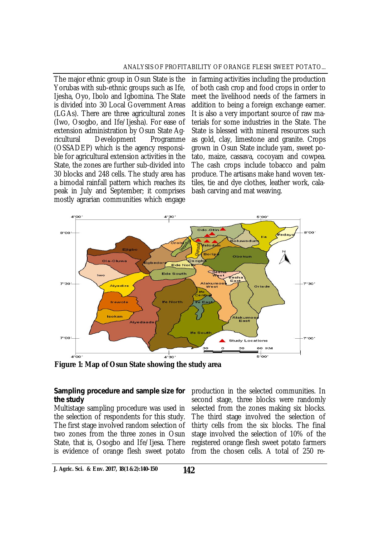#### ANALYSIS OF PROFITABILITY OF ORANGE FLESH SWEET POTATO...

The major ethnic group in Osun State is the Yorubas with sub-ethnic groups such as Ife, Ijesha, Oyo, Ibolo and Igbomina. The State is divided into 30 Local Government Areas (LGAs). There are three agricultural zones (Iwo, Osogbo, and Ife/Ijesha). For ease of extension administration by Osun State Agricultural Development Programme (OSSADEP) which is the agency responsible for agricultural extension activities in the State, the zones are further sub-divided into 30 blocks and 248 cells. The study area has a bimodal rainfall pattern which reaches its peak in July and September; it comprises mostly agrarian communities which engage

in farming activities including the production of both cash crop and food crops in order to meet the livelihood needs of the farmers in addition to being a foreign exchange earner. It is also a very important source of raw materials for some industries in the State. The State is blessed with mineral resources such as gold, clay, limestone and granite. Crops grown in Osun State include yam, sweet potato, maize, cassava, cocoyam and cowpea. The cash crops include tobacco and palm produce. The artisans make hand woven textiles, tie and dye clothes, leather work, calabash carving and mat weaving.



**Figure 1: Map of Osun State showing the study area**

#### *Sampling procedure and sample size for the study*

Multistage sampling procedure was used in the selection of respondents for this study. The first stage involved random selection of two zones from the three zones in Osun State, that is, Osogbo and Ife/Ijesa. There is evidence of orange flesh sweet potato

production in the selected communities. In second stage, three blocks were randomly selected from the zones making six blocks. The third stage involved the selection of thirty cells from the six blocks. The final stage involved the selection of 10% of the registered orange flesh sweet potato farmers from the chosen cells. A total of 250 re-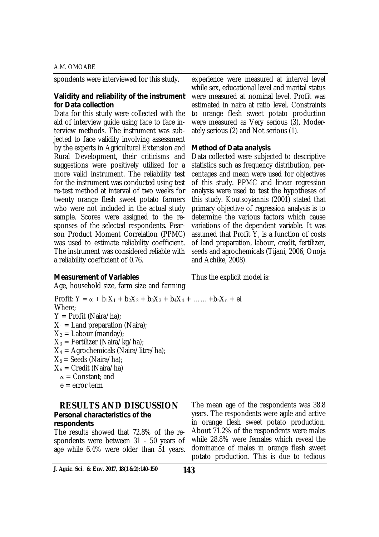#### A.M. OMOARE

spondents were interviewed for this study.

## *Validity and reliability of the instrument for Data collection*

Data for this study were collected with the aid of interview guide using face to face interview methods. The instrument was subjected to face validity involving assessment by the experts in Agricultural Extension and Rural Development, their criticisms and suggestions were positively utilized for a more valid instrument. The reliability test for the instrument was conducted using test re-test method at interval of two weeks for twenty orange flesh sweet potato farmers who were not included in the actual study sample. Scores were assigned to the responses of the selected respondents. Pearson Product Moment Correlation (PPMC) was used to estimate reliability coefficient. The instrument was considered reliable with a reliability coefficient of 0.76.

experience were measured at interval level while sex, educational level and marital status were measured at nominal level. Profit was estimated in naira at ratio level. Constraints to orange flesh sweet potato production were measured as Very serious (3), Moderately serious (2) and Not serious (1).

## *Method of Data analysis*

Thus the explicit model is:

Data collected were subjected to descriptive statistics such as frequency distribution, percentages and mean were used for objectives of this study. PPMC and linear regression analysis were used to test the hypotheses of this study. Koutsoyiannis (2001) stated that primary objective of regression analysis is to determine the various factors which cause variations of the dependent variable. It was assumed that Profit Y, is a function of costs of land preparation, labour, credit, fertilizer, seeds and agrochemicals (Tijani, 2006; Onoja and Achike, 2008).

## *Measurement of Variables*

Age, household size, farm size and farming

Profit:  $Y = \alpha + b_1X_1 + b_2X_2 + b_3X_3 + b_4X_4 + \ldots + b_nX_n + \text{ei}$ 

Where;

- Y = Profit (Naira/ha);
- $X_1$  = Land preparation (Naira);
- $X_2 =$  Labour (manday);
- $X_3$  = Fertilizer (Naira/kg/ha);
- $X_4$  = Agrochemicals (Naira/litre/ha);
- $X_5$  = Seeds (Naira/ha);
- $X_6$  = Credit (Naira/ha)
- $\alpha$  = Constant; and
- $e = error term$

## **RESULTS AND DISCUSSION** *Personal characteristics of the*

## *respondents*

The results showed that 72.8% of the respondents were between 31 - 50 years of age while 6.4% were older than 51 years.

The mean age of the respondents was 38.8 years. The respondents were agile and active in orange flesh sweet potato production. About 71.2% of the respondents were males while 28.8% were females which reveal the dominance of males in orange flesh sweet potato production. This is due to tedious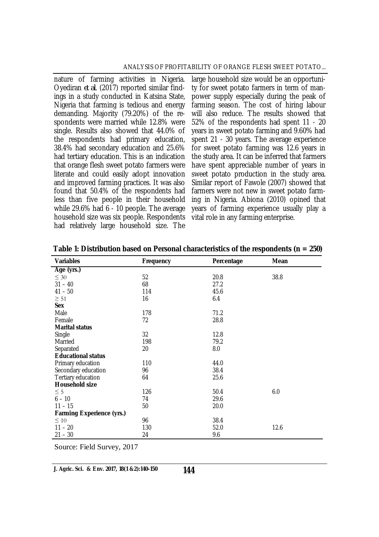#### ANALYSIS OF PROFITABILITY OF ORANGE FLESH SWEET POTATO...

nature of farming activities in Nigeria. Oyediran *et al*. (2017) reported similar findings in a study conducted in Katsina State, Nigeria that farming is tedious and energy demanding. Majority (79.20%) of the respondents were married while 12.8% were single. Results also showed that 44.0% of the respondents had primary education, 38.4% had secondary education and 25.6% had tertiary education. This is an indication that orange flesh sweet potato farmers were literate and could easily adopt innovation and improved farming practices. It was also found that 50.4% of the respondents had less than five people in their household while 29.6% had 6 - 10 people. The average household size was six people. Respondents had relatively large household size. The

large household size would be an opportunity for sweet potato farmers in term of manpower supply especially during the peak of farming season. The cost of hiring labour will also reduce. The results showed that 52% of the respondents had spent 11 - 20 years in sweet potato farming and 9.60% had spent 21 - 30 years. The average experience for sweet potato farming was 12.6 years in the study area. It can be inferred that farmers have spent appreciable number of years in sweet potato production in the study area. Similar report of Fawole (2007) showed that farmers were not new in sweet potato farming in Nigeria. Abiona (2010) opined that years of farming experience usually play a vital role in any farming enterprise.

| <b>Variables</b>                 | Frequency | Percentage | Mean |
|----------------------------------|-----------|------------|------|
| Age (yrs.)                       |           |            |      |
| $\leq 30$                        | 52        | 20.8       | 38.8 |
| $31 - 40$                        | 68        | 27.2       |      |
| $41 - 50$                        | 114       | 45.6       |      |
| $\geq 51$                        | 16        | 6.4        |      |
| <b>Sex</b>                       |           |            |      |
| Male                             | 178       | 71.2       |      |
| Female                           | 72        | 28.8       |      |
| <b>Marital status</b>            |           |            |      |
| Single                           | 32        | 12.8       |      |
| Married                          | 198       | 79.2       |      |
| Separated                        | 20        | 8.0        |      |
| <b>Educational status</b>        |           |            |      |
| Primary education                | 110       | 44.0       |      |
| Secondary education              | 96        | 38.4       |      |
| Tertiary education               | 64        | 25.6       |      |
| <b>Household size</b>            |           |            |      |
| $\leq$ 5                         | 126       | 50.4       | 6.0  |
| $6 - 10$                         | 74        | 29.6       |      |
| $11 - 15$                        | 50        | 20.0       |      |
| <b>Farming Experience (yrs.)</b> |           |            |      |
| $\leq 10$                        | 96        | 38.4       |      |
| $11 - 20$                        | 130       | 52.0       | 12.6 |
| $21 - 30$                        | 24        | 9.6        |      |

**Table 1: Distribution based on Personal characteristics of the respondents (n = 250)**

Source: Field Survey, 2017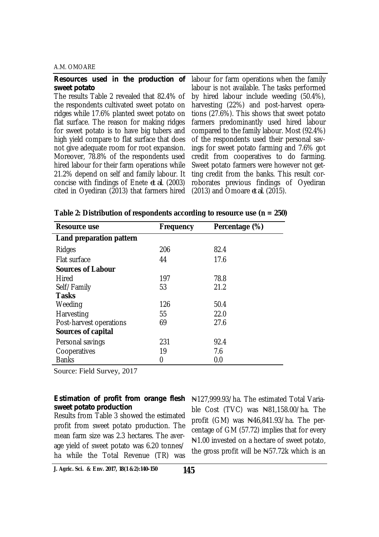### A.M. OMOARE

| <b>Resources used in the production of</b> labour for farm operations when the family |
|---------------------------------------------------------------------------------------|
| labour is not available. The tasks performed                                          |
| by hired labour include weeding (50.4%),                                              |
| harvesting (22%) and post-harvest opera-                                              |
| tions (27.6%). This shows that sweet potato                                           |
| farmers predominantly used hired labour                                               |
| compared to the family labour. Most (92.4%)                                           |
| of the respondents used their personal sav-                                           |
| ings for sweet potato farming and 7.6% got                                            |
| credit from cooperatives to do farming.                                               |
| Sweet potato farmers were however not get-                                            |
| ting credit from the banks. This result cor-                                          |
| roborates previous findings of Oyediran                                               |
| (2013) and Omoare et al. (2015).                                                      |
|                                                                                       |

| <b>Resource use</b>             | Frequency | Percentage (%) |
|---------------------------------|-----------|----------------|
| <b>Land preparation pattern</b> |           |                |
| Ridges                          | 206       | 82.4           |
| <b>Flat surface</b>             | 44        | 17.6           |
| <b>Sources of Labour</b>        |           |                |
| <b>Hired</b>                    | 197       | 78.8           |
| Self/Family                     | 53        | 21.2           |
| <b>Tasks</b>                    |           |                |
| Weeding                         | 126       | 50.4           |
| Harvesting                      | 55        | 22.0           |
| Post-harvest operations         | 69        | 27.6           |
| Sources of capital              |           |                |
| Personal savings                | 231       | 92.4           |
| Cooperatives                    | 19        | 7.6            |
| <b>Banks</b>                    | 0         | 0.0            |

| Table 2: Distribution of respondents according to resource use ( $n = 250$ ) |  |  |  |  |  |
|------------------------------------------------------------------------------|--|--|--|--|--|
|------------------------------------------------------------------------------|--|--|--|--|--|

Source: Field Survey, 2017

## *sweet potato production*

Results from Table 3 showed the estimated profit from sweet potato production. The mean farm size was 2.3 hectares. The average yield of sweet potato was 6.20 tonnes/ ha while the Total Revenue (TR) was

**Estimation of profit from orange flesh** N127,999.93/ha. The estimated Total Variable Cost (TVC) was  $\frac{1}{2}$ 81,158.00/ha. The profit (GM) was N46,841.93/ha. The percentage of GM (57.72) implies that for every ₦1.00 invested on a hectare of sweet potato, the gross profit will be  $\frac{1}{2}$  72k which is an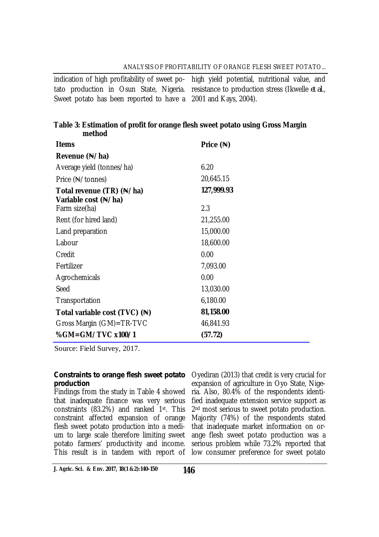## ANALYSIS OF PROFITABILITY OF ORANGE FLESH SWEET POTATO...

Sweet potato has been reported to have a 2001 and Kays, 2004).

indication of high profitability of sweet po-high yield potential, nutritional value, and tato production in Osun State, Nigeria. resistance to production stress (Ikwelle *et al.*,

## **Table 3: Estimation of profit for orange flesh sweet potato using Gross Margin method**

| <b>Items</b>                                      | Price $(*)$ |  |
|---------------------------------------------------|-------------|--|
| Revenue $(\frac{N}{n})$                           |             |  |
| Average yield (tonnes/ha)                         | 6.20        |  |
| Price (Ne/tonnes)                                 | 20,645.15   |  |
| Total revenue (TR) (N/ha)<br>Variable cost (N/ha) | 127,999.93  |  |
| Farm size(ha)                                     | 2.3         |  |
| Rent (for hired land)                             | 21,255.00   |  |
| Land preparation                                  | 15,000.00   |  |
| Labour                                            | 18,600.00   |  |
| Credit                                            | 0.00        |  |
| Fertilizer                                        | 7,093.00    |  |
| Agrochemicals                                     | 0.00        |  |
| Seed                                              | 13,030.00   |  |
| Transportation                                    | 6,180.00    |  |
| Total variable cost (TVC) (N)                     | 81,158.00   |  |
| Gross Margin (GM)=TR-TVC                          | 46,841.93   |  |
| %GM=GM/TVC x100/1                                 | (57.72)     |  |

Source: Field Survey, 2017.

# *production*

Findings from the study in Table 4 showed that inadequate finance was very serious constraints (83.2%) and ranked 1st. This constraint affected expansion of orange flesh sweet potato production into a medium to large scale therefore limiting sweet potato farmers' productivity and income. This result is in tandem with report of low consumer preference for sweet potato

**Constraints to orange flesh sweet potato** Oyediran (2013) that credit is very crucial for expansion of agriculture in Oyo State, Nigeria. Also, 80.4% of the respondents identified inadequate extension service support as 2<sup>nd</sup> most serious to sweet potato production. Majority (74%) of the respondents stated that inadequate market information on orange flesh sweet potato production was a serious problem while 73.2% reported that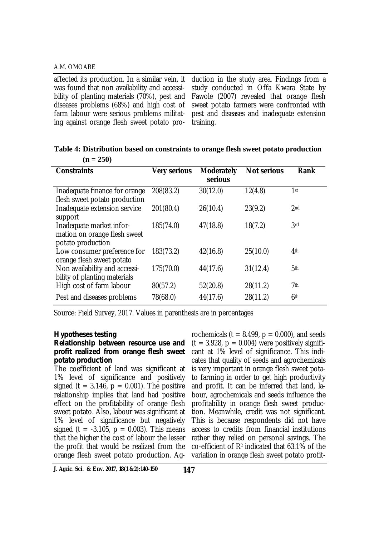affected its production. In a similar vein, it was found that non availability and accessibility of planting materials (70%), pest and diseases problems (68%) and high cost of farm labour were serious problems militating against orange flesh sweet potato pro-

duction in the study area. Findings from a study conducted in Offa Kwara State by Fawole (2007) revealed that orange flesh sweet potato farmers were confronted with pest and diseases and inadequate extension training.

| <b>Constraints</b>                                                            | <b>Very serious</b> | <b>Moderately</b><br>serious | <b>Not serious</b> | <b>Rank</b>     |
|-------------------------------------------------------------------------------|---------------------|------------------------------|--------------------|-----------------|
| Inadequate finance for orange<br>flesh sweet potato production                | 208(83.2)           | 30(12.0)                     | 12(4.8)            | 1st             |
| Inadequate extension service<br>support                                       | 201(80.4)           | 26(10.4)                     | 23(9.2)            | 2 <sub>nd</sub> |
| Inadequate market infor-<br>mation on orange flesh sweet<br>potato production | 185(74.0)           | 47(18.8)                     | 18(7.2)            | 3rd             |
| Low consumer preference for<br>orange flesh sweet potato                      | 183(73.2)           | 42(16.8)                     | 25(10.0)           | 4 <sup>th</sup> |
| Non availability and accessi-<br>bility of planting materials                 | 175(70.0)           | 44(17.6)                     | 31(12.4)           | 5 <sup>th</sup> |
| High cost of farm labour                                                      | 80(57.2)            | 52(20.8)                     | 28(11.2)           | 7th             |
| Pest and diseases problems                                                    | 78(68.0)            | 44(17.6)                     | 28(11.2)           | 6th             |

**Table 4: Distribution based on constraints to orange flesh sweet potato production (n = 250)**

Source: Field Survey, 2017. Values in parenthesis are in percentages

#### *Hypotheses testing*

### *Relationship between resource use and profit realized from orange flesh sweet potato production*

The coefficient of land was significant at 1% level of significance and positively signed (t =  $3.146$ , p = 0.001). The positive relationship implies that land had positive effect on the profitability of orange flesh sweet potato. Also, labour was significant at 1% level of significance but negatively signed (t =  $-3.105$ , p = 0.003). This means that the higher the cost of labour the lesser the profit that would be realized from the orange flesh sweet potato production. Ag-

rochemicals ( $t = 8.499$ ,  $p = 0.000$ ), and seeds  $(t = 3.928, p = 0.004)$  were positively significant at 1% level of significance. This indicates that quality of seeds and agrochemicals is very important in orange flesh sweet potato farming in order to get high productivity and profit. It can be inferred that land, labour, agrochemicals and seeds influence the profitability in orange flesh sweet production. Meanwhile, credit was not significant. This is because respondents did not have access to credits from financial institutions rather they relied on personal savings. The co-efficient of R<sup>2</sup> indicated that 63.1% of the variation in orange flesh sweet potato profit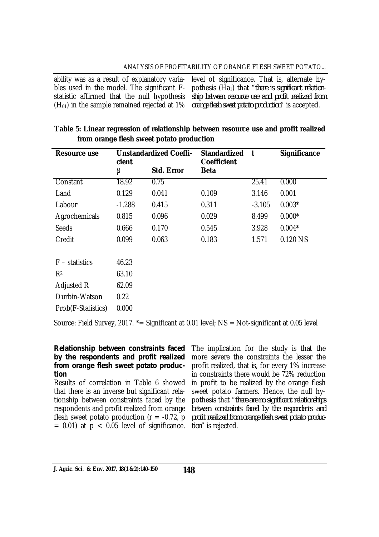ability was as a result of explanatory variables used in the model. The significant Fstatistic affirmed that the null hypothesis  $(H<sub>01</sub>)$  in the sample remained rejected at 1% level of significance. That is, alternate hypothesis (Ha1) that "*there is significant relationship between resource use and profit realized from orange flesh sweet potato production*" is accepted.

| <b>Resource use</b> | <b>Unstandardized Coeffi-</b><br>cient |                   | <b>Standardized</b><br><b>Coefficient</b> | t        | <b>Significance</b> |
|---------------------|----------------------------------------|-------------------|-------------------------------------------|----------|---------------------|
|                     | β                                      | <b>Std. Error</b> | <b>Beta</b>                               |          |                     |
| Constant            | 18.92                                  | 0.75              |                                           | 25.41    | 0.000               |
| Land                | 0.129                                  | 0.041             | 0.109                                     | 3.146    | 0.001               |
| Labour              | $-1.288$                               | 0.415             | 0.311                                     | $-3.105$ | $0.003*$            |
| Agrochemicals       | 0.815                                  | 0.096             | 0.029                                     | 8.499    | $0.000*$            |
| Seeds               | 0.666                                  | 0.170             | 0.545                                     | 3.928    | $0.004*$            |
| Credit              | 0.099                                  | 0.063             | 0.183                                     | 1.571    | 0.120 NS            |
|                     |                                        |                   |                                           |          |                     |
| $F -$ statistics    | 46.23                                  |                   |                                           |          |                     |
| R <sup>2</sup>      | 63.10                                  |                   |                                           |          |                     |
| Adjusted R          | 62.09                                  |                   |                                           |          |                     |
| Durbin-Watson       | 0.22                                   |                   |                                           |          |                     |
| Prob(F-Statistics)  | 0.000                                  |                   |                                           |          |                     |

| Table 5: Linear regression of relationship between resource use and profit realized |  |
|-------------------------------------------------------------------------------------|--|
| from orange flesh sweet potato production                                           |  |

Source: Field Survey, 2017. \*= Significant at 0.01 level; NS = Not-significant at 0.05 level

## *Relationship between constraints faced by the respondents and profit realized from orange flesh sweet potato production*

Results of correlation in Table 6 showed that there is an inverse but significant relationship between constraints faced by the respondents and profit realized from orange flesh sweet potato production  $(r = -0.72, p$  $= 0.01$ ) at  $p < 0.05$  level of significance.

The implication for the study is that the more severe the constraints the lesser the profit realized, that is, for every 1% increase in constraints there would be 72% reduction in profit to be realized by the orange flesh sweet potato farmers. Hence, the null hypothesis that "*there are no significant relationships between constraints faced by the respondents and profit realized from orange flesh sweet potato production*" is rejected.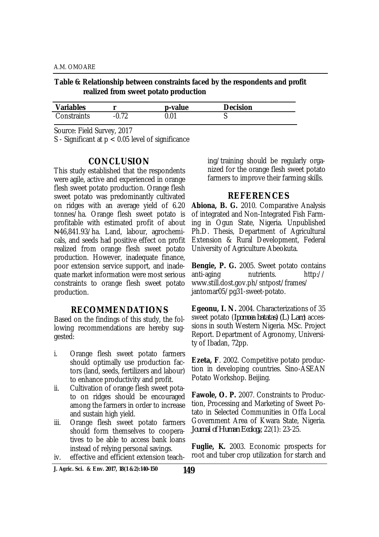**Table 6: Relationship between constraints faced by the respondents and profit realized from sweet potato production**

| <b>Variables</b> |     | p-value | <b>Decision</b> |
|------------------|-----|---------|-----------------|
| Constraints      | ר ה | 0.01    | w               |

Source: Field Survey, 2017

S - Significant at p < 0.05 level of significance

## **CONCLUSION**

This study established that the respondents were agile, active and experienced in orange flesh sweet potato production. Orange flesh sweet potato was predominantly cultivated on ridges with an average yield of 6.20 tonnes/ha. Orange flesh sweet potato is profitable with estimated profit of about ₦46,841.93/ha. Land, labour, agrochemicals, and seeds had positive effect on profit realized from orange flesh sweet potato production. However, inadequate finance, poor extension service support, and inadequate market information were most serious constraints to orange flesh sweet potato production.

## **RECOMMENDATIONS**

Based on the findings of this study, the following recommendations are hereby suggested:

- i. Orange flesh sweet potato farmers should optimally use production factors (land, seeds, fertilizers and labour) to enhance productivity and profit.
- ii. Cultivation of orange flesh sweet potato on ridges should be encouraged among the farmers in order to increase and sustain high yield.
- iii. Orange flesh sweet potato farmers should form themselves to cooperatives to be able to access bank loans instead of relying personal savings.

iv. effective and efficient extension teach-

ing/training should be regularly organized for the orange flesh sweet potato farmers to improve their farming skills.

## **REFERENCES**

**Abiona, B. G.** 2010. Comparative Analysis of integrated and Non-Integrated Fish Farming in Ogun State, Nigeria. Unpublished Ph.D. Thesis, Department of Agricultural Extension & Rural Development, Federal University of Agriculture Abeokuta.

**Bengie, P. G.** 2005. Sweet potato contains anti-aging nutrients. <http://> [www.still.dost.gov.ph/sntpost/frames/](http://www.still.dost.gov.ph/sntpost/frames/) jantomar05/pg31-sweet-potato.

**Egeonu, I. N.** 2004. Characterizations of 35 sweet potato (*Ipomoea batatas) (L) Lam*) accessions in south Western Nigeria. MSc. Project Report. Department of Agronomy, University of Ibadan, 72pp.

**Ezeta, F**. 2002. Competitive potato production in developing countries. Sino-ASEAN Potato Workshop. Beijing.

**Fawole, O. P.** 2007. Constraints to Production, Processing and Marketing of Sweet Potato in Selected Communities in Offa Local Government Area of Kwara State, Nigeria. *Journal of Human Ecology,* 22(1): 23-25.

**Fuglie, K.** 2003. Economic prospects for root and tuber crop utilization for starch and

**J. Agric. Sci. & Env. 2017, 18(1 &2):140-150**